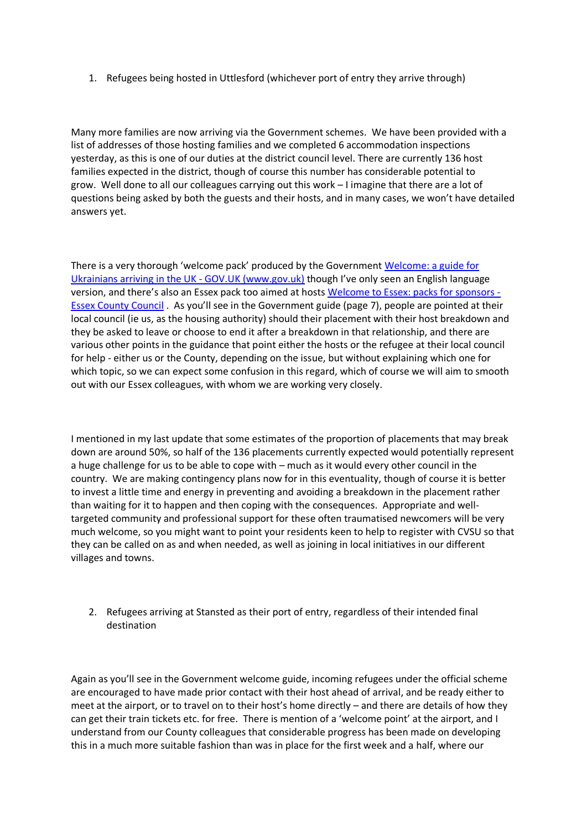1. Refugees being hosted in Uttlesford (whichever port of entry they arrive through)

Many more families are now arriving via the Government schemes. We have been provided with a list of addresses of those hosting families and we completed 6 accommodation inspections yesterday, as this is one of our duties at the district council level. There are currently 136 host families expected in the district, though of course this number has considerable potential to grow. Well done to all our colleagues carrying out this work – I imagine that there are a lot of questions being asked by both the guests and their hosts, and in many cases, we won't have detailed answers yet.

There is a very thorough 'welcome pack' produced by the Government [Welcome: a guide for](https://eur02.safelinks.protection.outlook.com/?url=https%3A%2F%2Fwww.gov.uk%2Fgovernment%2Fpublications%2Fwelcome-a-guide-for-ukrainians-arriving-in-the-uk&data=04%7C01%7C%7Ce317af7159ce49fb2c9c08da122571e0%7Ca8b4324f155c4215a0f17ed8cc9a992f%7C0%7C0%7C637842249268333178%7CUnknown%7CTWFpbGZsb3d8eyJWIjoiMC4wLjAwMDAiLCJQIjoiV2luMzIiLCJBTiI6Ik1haWwiLCJXVCI6Mn0%3D%7C3000&sdata=3aY26p%2B9eVbeDESmeBW9UnntOLUSnk125NXx9J5zZ%2FM%3D&reserved=0)  [Ukrainians arriving in the UK -](https://eur02.safelinks.protection.outlook.com/?url=https%3A%2F%2Fwww.gov.uk%2Fgovernment%2Fpublications%2Fwelcome-a-guide-for-ukrainians-arriving-in-the-uk&data=04%7C01%7C%7Ce317af7159ce49fb2c9c08da122571e0%7Ca8b4324f155c4215a0f17ed8cc9a992f%7C0%7C0%7C637842249268333178%7CUnknown%7CTWFpbGZsb3d8eyJWIjoiMC4wLjAwMDAiLCJQIjoiV2luMzIiLCJBTiI6Ik1haWwiLCJXVCI6Mn0%3D%7C3000&sdata=3aY26p%2B9eVbeDESmeBW9UnntOLUSnk125NXx9J5zZ%2FM%3D&reserved=0) GOV.UK (www.gov.uk) though I've only seen an English language version, and there's also an Essex pack too aimed at hosts [Welcome to Essex: packs for sponsors -](https://eur02.safelinks.protection.outlook.com/?url=https%3A%2F%2Fwww.essex.gov.uk%2Fnews%2Fwelcome-to-essex-packs-for-sponsors&data=04%7C01%7C%7C393bb59a433e43993eaa08da128f7cd3%7Ca8b4324f155c4215a0f17ed8cc9a992f%7C0%7C0%7C637842704740970892%7CUnknown%7CTWFpbGZsb3d8eyJWIjoiMC4wLjAwMDAiLCJQIjoiV2luMzIiLCJBTiI6Ik1haWwiLCJXVCI6Mn0%3D%7C3000&sdata=Hfg3T8dfqRs9sajqOq2GvgiOti1JsRGMyQGBKXxLCWg%3D&reserved=0) [Essex County Council](https://eur02.safelinks.protection.outlook.com/?url=https%3A%2F%2Fwww.essex.gov.uk%2Fnews%2Fwelcome-to-essex-packs-for-sponsors&data=04%7C01%7C%7C393bb59a433e43993eaa08da128f7cd3%7Ca8b4324f155c4215a0f17ed8cc9a992f%7C0%7C0%7C637842704740970892%7CUnknown%7CTWFpbGZsb3d8eyJWIjoiMC4wLjAwMDAiLCJQIjoiV2luMzIiLCJBTiI6Ik1haWwiLCJXVCI6Mn0%3D%7C3000&sdata=Hfg3T8dfqRs9sajqOq2GvgiOti1JsRGMyQGBKXxLCWg%3D&reserved=0) . As you'll see in the Government guide (page 7), people are pointed at their local council (ie us, as the housing authority) should their placement with their host breakdown and they be asked to leave or choose to end it after a breakdown in that relationship, and there are various other points in the guidance that point either the hosts or the refugee at their local council for help - either us or the County, depending on the issue, but without explaining which one for which topic, so we can expect some confusion in this regard, which of course we will aim to smooth out with our Essex colleagues, with whom we are working very closely.

I mentioned in my last update that some estimates of the proportion of placements that may break down are around 50%, so half of the 136 placements currently expected would potentially represent a huge challenge for us to be able to cope with – much as it would every other council in the country. We are making contingency plans now for in this eventuality, though of course it is better to invest a little time and energy in preventing and avoiding a breakdown in the placement rather than waiting for it to happen and then coping with the consequences. Appropriate and welltargeted community and professional support for these often traumatised newcomers will be very much welcome, so you might want to point your residents keen to help to register with CVSU so that they can be called on as and when needed, as well as joining in local initiatives in our different villages and towns.

2. Refugees arriving at Stansted as their port of entry, regardless of their intended final destination

Again as you'll see in the Government welcome guide, incoming refugees under the official scheme are encouraged to have made prior contact with their host ahead of arrival, and be ready either to meet at the airport, or to travel on to their host's home directly – and there are details of how they can get their train tickets etc. for free. There is mention of a 'welcome point' at the airport, and I understand from our County colleagues that considerable progress has been made on developing this in a much more suitable fashion than was in place for the first week and a half, where our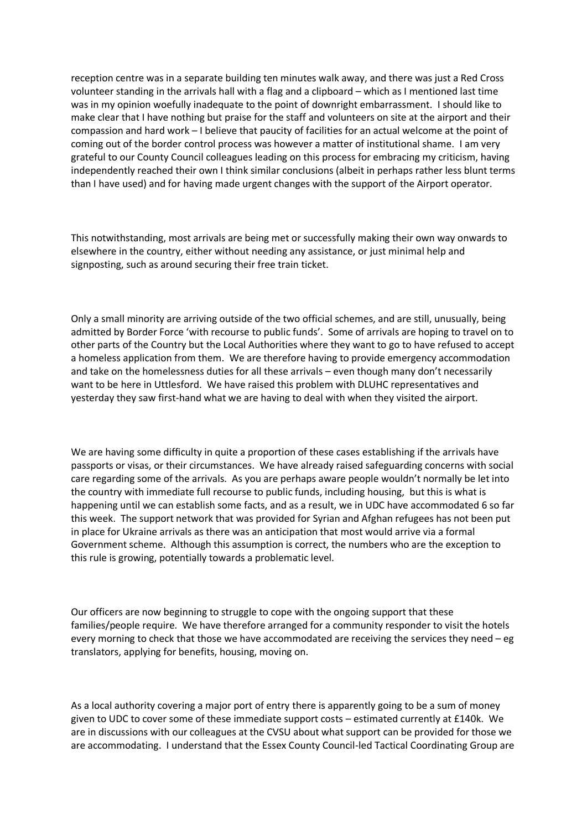reception centre was in a separate building ten minutes walk away, and there was just a Red Cross volunteer standing in the arrivals hall with a flag and a clipboard – which as I mentioned last time was in my opinion woefully inadequate to the point of downright embarrassment. I should like to make clear that I have nothing but praise for the staff and volunteers on site at the airport and their compassion and hard work – I believe that paucity of facilities for an actual welcome at the point of coming out of the border control process was however a matter of institutional shame. I am very grateful to our County Council colleagues leading on this process for embracing my criticism, having independently reached their own I think similar conclusions (albeit in perhaps rather less blunt terms than I have used) and for having made urgent changes with the support of the Airport operator.

This notwithstanding, most arrivals are being met or successfully making their own way onwards to elsewhere in the country, either without needing any assistance, or just minimal help and signposting, such as around securing their free train ticket.

Only a small minority are arriving outside of the two official schemes, and are still, unusually, being admitted by Border Force 'with recourse to public funds'. Some of arrivals are hoping to travel on to other parts of the Country but the Local Authorities where they want to go to have refused to accept a homeless application from them. We are therefore having to provide emergency accommodation and take on the homelessness duties for all these arrivals – even though many don't necessarily want to be here in Uttlesford. We have raised this problem with DLUHC representatives and yesterday they saw first-hand what we are having to deal with when they visited the airport.

We are having some difficulty in quite a proportion of these cases establishing if the arrivals have passports or visas, or their circumstances. We have already raised safeguarding concerns with social care regarding some of the arrivals. As you are perhaps aware people wouldn't normally be let into the country with immediate full recourse to public funds, including housing, but this is what is happening until we can establish some facts, and as a result, we in UDC have accommodated 6 so far this week. The support network that was provided for Syrian and Afghan refugees has not been put in place for Ukraine arrivals as there was an anticipation that most would arrive via a formal Government scheme. Although this assumption is correct, the numbers who are the exception to this rule is growing, potentially towards a problematic level.

Our officers are now beginning to struggle to cope with the ongoing support that these families/people require. We have therefore arranged for a community responder to visit the hotels every morning to check that those we have accommodated are receiving the services they need – eg translators, applying for benefits, housing, moving on.

As a local authority covering a major port of entry there is apparently going to be a sum of money given to UDC to cover some of these immediate support costs – estimated currently at £140k. We are in discussions with our colleagues at the CVSU about what support can be provided for those we are accommodating. I understand that the Essex County Council-led Tactical Coordinating Group are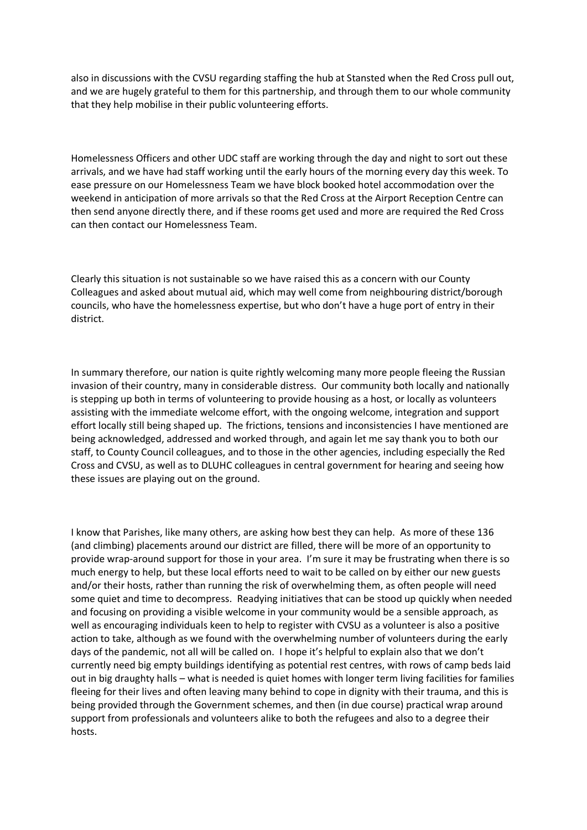also in discussions with the CVSU regarding staffing the hub at Stansted when the Red Cross pull out, and we are hugely grateful to them for this partnership, and through them to our whole community that they help mobilise in their public volunteering efforts.

Homelessness Officers and other UDC staff are working through the day and night to sort out these arrivals, and we have had staff working until the early hours of the morning every day this week. To ease pressure on our Homelessness Team we have block booked hotel accommodation over the weekend in anticipation of more arrivals so that the Red Cross at the Airport Reception Centre can then send anyone directly there, and if these rooms get used and more are required the Red Cross can then contact our Homelessness Team.

Clearly this situation is not sustainable so we have raised this as a concern with our County Colleagues and asked about mutual aid, which may well come from neighbouring district/borough councils, who have the homelessness expertise, but who don't have a huge port of entry in their district.

In summary therefore, our nation is quite rightly welcoming many more people fleeing the Russian invasion of their country, many in considerable distress. Our community both locally and nationally is stepping up both in terms of volunteering to provide housing as a host, or locally as volunteers assisting with the immediate welcome effort, with the ongoing welcome, integration and support effort locally still being shaped up. The frictions, tensions and inconsistencies I have mentioned are being acknowledged, addressed and worked through, and again let me say thank you to both our staff, to County Council colleagues, and to those in the other agencies, including especially the Red Cross and CVSU, as well as to DLUHC colleagues in central government for hearing and seeing how these issues are playing out on the ground.

I know that Parishes, like many others, are asking how best they can help. As more of these 136 (and climbing) placements around our district are filled, there will be more of an opportunity to provide wrap-around support for those in your area. I'm sure it may be frustrating when there is so much energy to help, but these local efforts need to wait to be called on by either our new guests and/or their hosts, rather than running the risk of overwhelming them, as often people will need some quiet and time to decompress. Readying initiatives that can be stood up quickly when needed and focusing on providing a visible welcome in your community would be a sensible approach, as well as encouraging individuals keen to help to register with CVSU as a volunteer is also a positive action to take, although as we found with the overwhelming number of volunteers during the early days of the pandemic, not all will be called on. I hope it's helpful to explain also that we don't currently need big empty buildings identifying as potential rest centres, with rows of camp beds laid out in big draughty halls – what is needed is quiet homes with longer term living facilities for families fleeing for their lives and often leaving many behind to cope in dignity with their trauma, and this is being provided through the Government schemes, and then (in due course) practical wrap around support from professionals and volunteers alike to both the refugees and also to a degree their hosts.